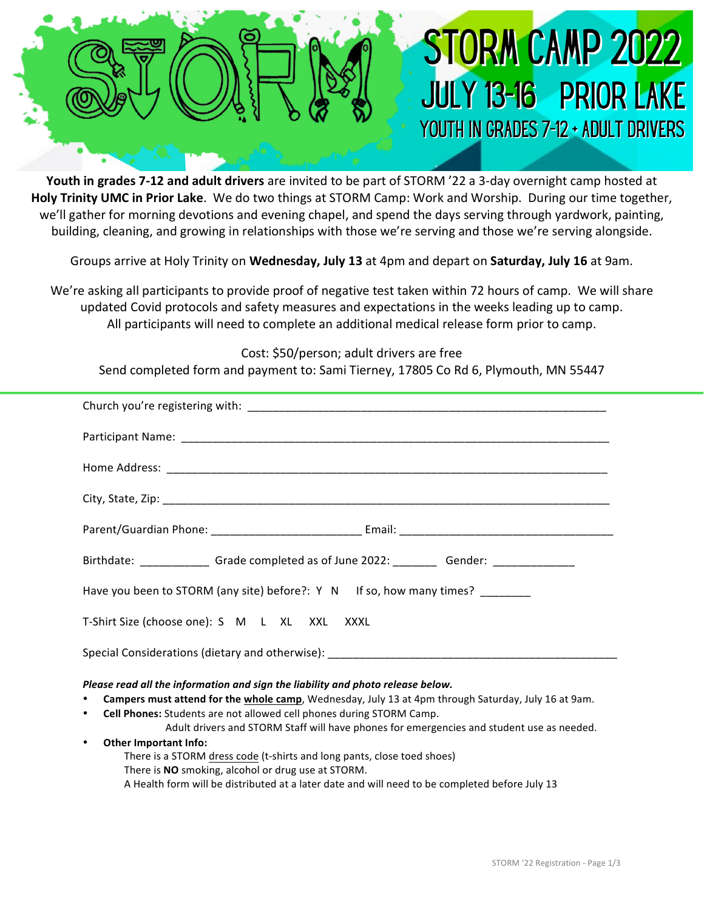## **STORM CAMP 2022 JULY 13-16 PRIOR LAKE** YOUTH IN GRADES 7-12 + ADULT DRIVERS

**Youth in grades 7-12 and adult drivers** are invited to be part of STORM '22 a 3-day overnight camp hosted at **Holy Trinity UMC in Prior Lake**. We do two things at STORM Camp: Work and Worship. During our time together, we'll gather for morning devotions and evening chapel, and spend the days serving through yardwork, painting, building, cleaning, and growing in relationships with those we're serving and those we're serving alongside.

Groups arrive at Holy Trinity on Wednesday, July 13 at 4pm and depart on Saturday, July 16 at 9am.

We're asking all participants to provide proof of negative test taken within 72 hours of camp. We will share updated Covid protocols and safety measures and expectations in the weeks leading up to camp. All participants will need to complete an additional medical release form prior to camp.

Cost: \$50/person; adult drivers are free

Send completed form and payment to: Sami Tierney, 17805 Co Rd 6, Plymouth, MN 55447

A Health form will be distributed at a later date and will need to be completed before July 13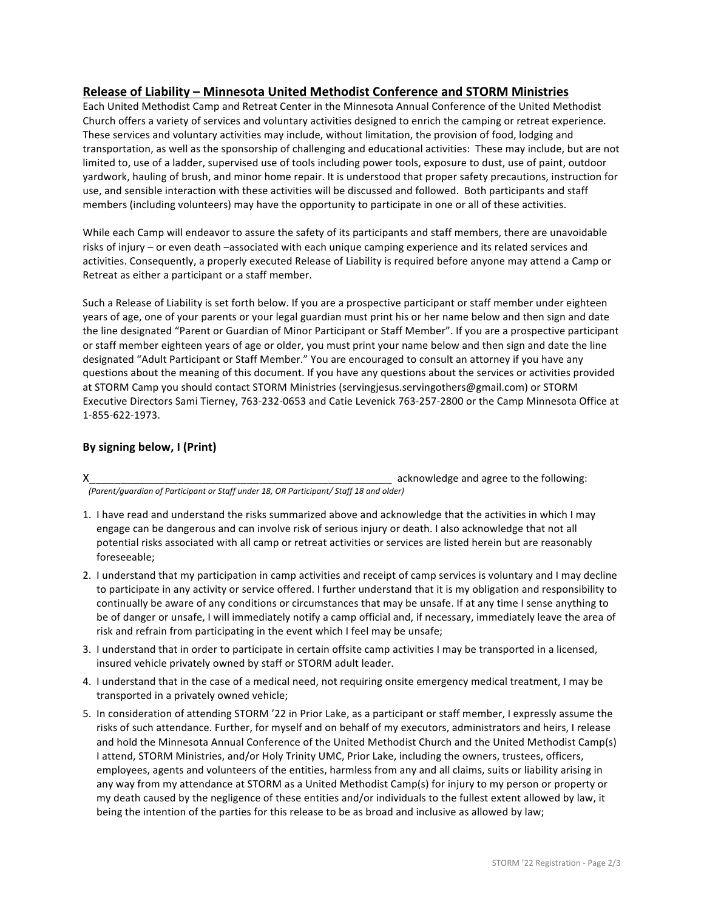## **Release of Liability – Minnesota United Methodist Conference and STORM Ministries**

Each United Methodist Camp and Retreat Center in the Minnesota Annual Conference of the United Methodist Church offers a variety of services and voluntary activities designed to enrich the camping or retreat experience. These services and voluntary activities may include, without limitation, the provision of food, lodging and transportation, as well as the sponsorship of challenging and educational activities: These may include, but are not limited to, use of a ladder, supervised use of tools including power tools, exposure to dust, use of paint, outdoor yardwork, hauling of brush, and minor home repair. It is understood that proper safety precautions, instruction for use, and sensible interaction with these activities will be discussed and followed. Both participants and staff members (including volunteers) may have the opportunity to participate in one or all of these activities.

While each Camp will endeavor to assure the safety of its participants and staff members, there are unavoidable risks of injury – or even death –associated with each unique camping experience and its related services and activities. Consequently, a properly executed Release of Liability is required before anyone may attend a Camp or Retreat as either a participant or a staff member.

Such a Release of Liability is set forth below. If you are a prospective participant or staff member under eighteen years of age, one of your parents or your legal guardian must print his or her name below and then sign and date the line designated "Parent or Guardian of Minor Participant or Staff Member". If you are a prospective participant or staff member eighteen years of age or older, you must print your name below and then sign and date the line designated "Adult Participant or Staff Member." You are encouraged to consult an attorney if you have any questions about the meaning of this document. If you have any questions about the services or activities provided at STORM Camp you should contact STORM Ministries (servingiesus.servingothers@gmail.com) or STORM Executive Directors Sami Tierney, 763-232-0653 and Catie Levenick 763-257-2800 or the Camp Minnesota Office at 1-855-622-1973.

## By signing below, I (Print)

X\_\_\_\_\_\_\_\_\_\_\_\_\_\_\_\_\_\_\_\_\_\_\_\_\_\_\_\_\_\_\_\_\_\_\_\_\_\_\_\_\_\_\_\_\_\_\_\_ acknowledge and agree to the following:

 *(Parent/guardian of Participant or Staff under 18, OR Participant/ Staff 18 and older)*

- 1. I have read and understand the risks summarized above and acknowledge that the activities in which I may engage can be dangerous and can involve risk of serious injury or death. I also acknowledge that not all potential risks associated with all camp or retreat activities or services are listed herein but are reasonably foreseeable;
- 2. I understand that my participation in camp activities and receipt of camp services is voluntary and I may decline to participate in any activity or service offered. I further understand that it is my obligation and responsibility to continually be aware of any conditions or circumstances that may be unsafe. If at any time I sense anything to be of danger or unsafe, I will immediately notify a camp official and, if necessary, immediately leave the area of risk and refrain from participating in the event which I feel may be unsafe;
- 3. I understand that in order to participate in certain offsite camp activities I may be transported in a licensed, insured vehicle privately owned by staff or STORM adult leader.
- 4. I understand that in the case of a medical need, not requiring onsite emergency medical treatment, I may be transported in a privately owned vehicle;
- 5. In consideration of attending STORM '22 in Prior Lake, as a participant or staff member, I expressly assume the risks of such attendance. Further, for myself and on behalf of my executors, administrators and heirs, I release and hold the Minnesota Annual Conference of the United Methodist Church and the United Methodist Camp(s) I attend, STORM Ministries, and/or Holy Trinity UMC, Prior Lake, including the owners, trustees, officers, employees, agents and volunteers of the entities, harmless from any and all claims, suits or liability arising in any way from my attendance at STORM as a United Methodist Camp(s) for injury to my person or property or my death caused by the negligence of these entities and/or individuals to the fullest extent allowed by law, it being the intention of the parties for this release to be as broad and inclusive as allowed by law;